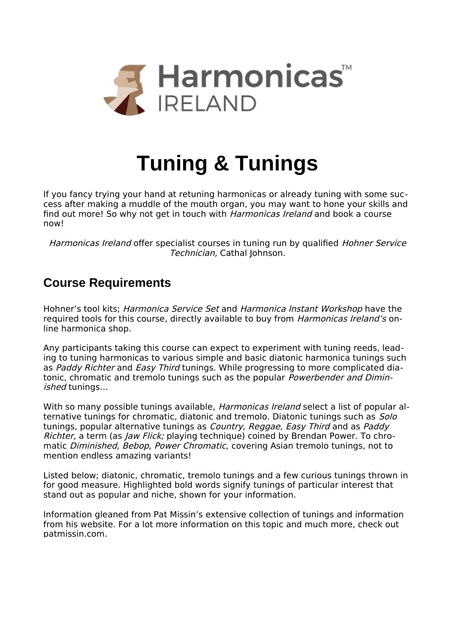

# **Tuning & Tunings**

If you fancy trying your hand at retuning harmonicas or already tuning with some success after making a muddle of the mouth organ, you may want to hone your skills and find out more! So why not get in touch with Harmonicas Ireland and book a course now!

Harmonicas Ireland offer specialist courses in tuning run by qualified Hohner Service Technician, Cathal Johnson.

# **Course Requirements**

Hohner's tool kits; Harmonica Service Set and Harmonica Instant Workshop have the required tools for this course, directly available to buy from *Harmonicas Ireland's* online harmonica shop.

Any participants taking this course can expect to experiment with tuning reeds, leading to tuning harmonicas to various simple and basic diatonic harmonica tunings such as Paddy Richter and Easy Third tunings. While progressing to more complicated diatonic, chromatic and tremolo tunings such as the popular *Powerbender and Dimin*ished tunings…

With so many possible tunings available, *Harmonicas Ireland* select a list of popular alternative tunings for chromatic, diatonic and tremolo. Diatonic tunings such as Solo tunings, popular alternative tunings as *Country, Reggae, Easy Third* and as *Paddy* Richter, a term (as Jaw Flick; playing technique) coined by Brendan Power. To chromatic Diminished, Bebop, Power Chromatic, covering Asian tremolo tunings, not to mention endless amazing variants!

Listed below; diatonic, chromatic, tremolo tunings and a few curious tunings thrown in for good measure. Highlighted bold words signify tunings of particular interest that stand out as popular and niche, shown for your information.

Information gleaned from Pat Missin's extensive collection of tunings and information from his website. For a lot more information on this topic and much more, check out [patmissin.com](http://patmissin.com/).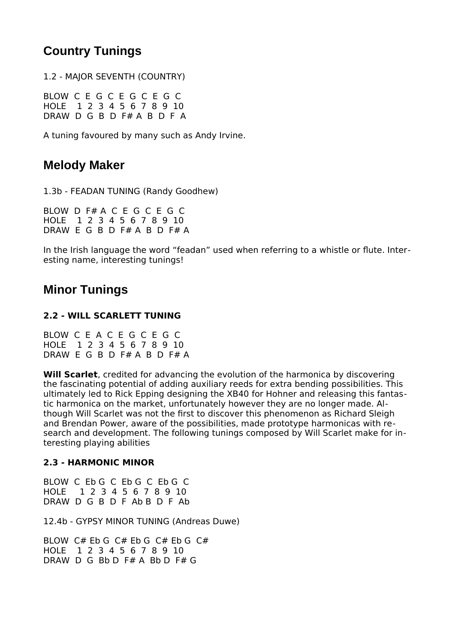# **Country Tunings**

1.2 - MAJOR SEVENTH (COUNTRY)

BLOW C E G C E G C E G C HOLE 1 2 3 4 5 6 7 8 9 10 DRAW D G B D F# A B D F A

A tuning favoured by many such as Andy Irvine.

# **Melody Maker**

1.3b - FEADAN TUNING (Randy Goodhew)

BLOW D F# A C E G C E G C HOLE 1 2 3 4 5 6 7 8 9 10 DRAW E G B D F# A B D F# A

In the Irish language the word "feadan" used when referring to a whistle or flute. Interesting name, interesting tunings!

## **Minor Tunings**

## **2.2 - WILL SCARLETT TUNING**

BLOW C E A C E G C E G C HOLE 1 2 3 4 5 6 7 8 9 10 DRAW E G B D F# A B D F# A

**Will Scarlet**, credited for advancing the evolution of the harmonica by discovering the fascinating potential of adding auxiliary reeds for extra bending possibilities. This ultimately led to Rick Epping designing the XB40 for Hohner and releasing this fantastic harmonica on the market, unfortunately however they are no longer made. Although Will Scarlet was not the first to discover this phenomenon as Richard Sleigh and Brendan Power, aware of the possibilities, made prototype harmonicas with research and development. The following tunings composed by Will Scarlet make for interesting playing abilities

## **2.3 - HARMONIC MINOR**

BLOW C Eb G C Eb G C Eb G C HOLE 1 2 3 4 5 6 7 8 9 10 DRAW D G B D F Ab B D F Ab

12.4b - GYPSY MINOR TUNING (Andreas Duwe)

BLOW  $C#$  Eb G  $C#$  Eb G  $C#$  Eb G  $C#$ HOLE 1 2 3 4 5 6 7 8 9 10 DRAW D G Bb D F# A Bb D F# G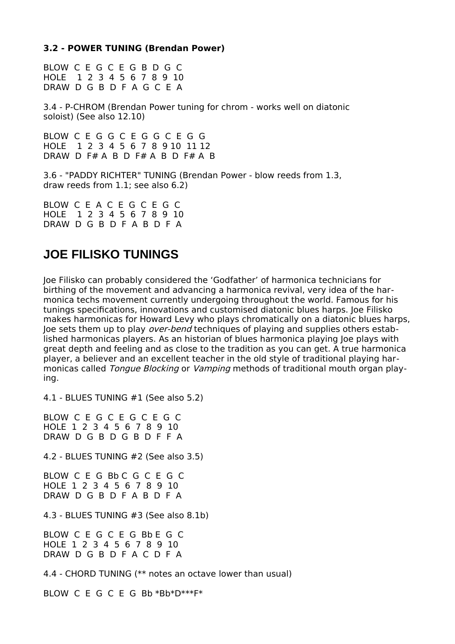### **3.2 - POWER TUNING (Brendan Power)**

BLOW C E G C E G B D G C HOLE 1 2 3 4 5 6 7 8 9 10 DRAW D G B D F A G C E A

3.4 - P-CHROM (Brendan Power tuning for chrom - works well on diatonic soloist) (See also 12.10)

BLOW C E G G C E G G C E G G HOLE 1 2 3 4 5 6 7 8 9 10 11 12 DRAW D F# A B D F# A B D F# A B

3.6 - "PADDY RICHTER" TUNING (Brendan Power - blow reeds from 1.3, draw reeds from 1.1; see also 6.2)

BLOW C E A C E G C E G C HOLE 1 2 3 4 5 6 7 8 9 10 DRAW D G B D F A B D F A

## **JOE FILISKO TUNINGS**

Joe Filisko can probably considered the 'Godfather' of harmonica technicians for birthing of the movement and advancing a harmonica revival, very idea of the harmonica techs movement currently undergoing throughout the world. Famous for his tunings specifications, innovations and customised diatonic blues harps. Joe Filisko makes harmonicas for Howard Levy who plays chromatically on a diatonic blues harps, Joe sets them up to play over-bend techniques of playing and supplies others established harmonicas players. As an historian of blues harmonica playing Joe plays with great depth and feeling and as close to the tradition as you can get. A true harmonica player, a believer and an excellent teacher in the old style of traditional playing harmonicas called *Tongue Blocking* or *Vamping* methods of traditional mouth organ playing.

4.1 - BLUES TUNING #1 (See also 5.2)

BLOW C E G C E G C E G C HOLE 1 2 3 4 5 6 7 8 9 10 DRAW D G B D G B D F F A

4.2 - BLUES TUNING #2 (See also 3.5)

BLOW C E G Bb C G C E G C HOLE 1 2 3 4 5 6 7 8 9 10 DRAW D G B D F A B D F A

4.3 - BLUES TUNING #3 (See also 8.1b)

BLOW C E G C E G Bb E G C HOLE 1 2 3 4 5 6 7 8 9 10 DRAW D G B D F A C D F A

4.4 - CHORD TUNING (\*\* notes an octave lower than usual)

BLOW C E G C E G Bb \*Bb\*D\*\*\*F\*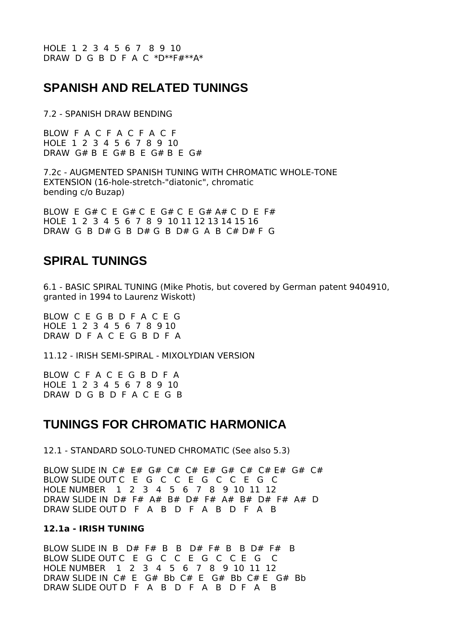## **SPANISH AND RELATED TUNINGS**

7.2 - SPANISH DRAW BENDING

BLOW F A C F A C F A C F HOLE 1 2 3 4 5 6 7 8 9 10 DRAW  $G# B E G# B E G# B E G#$ 

7.2c - AUGMENTED SPANISH TUNING WITH CHROMATIC WHOLE-TONE EXTENSION (16-hole-stretch-"diatonic", chromatic bending c/o Buzap)

BLOW E G# C E G# C E G# C E G# A# C D E F# HOLE 1 2 3 4 5 6 7 8 9 10 11 12 13 14 15 16 DRAW G B D# G B D# G B D# G A B C# D# F G

## **SPIRAL TUNINGS**

6.1 - BASIC SPIRAL TUNING (Mike Photis, but covered by German patent 9404910, granted in 1994 to Laurenz Wiskott)

BLOW C E G B D F A C E G HOLE 1 2 3 4 5 6 7 8 9 10 DRAW D F A C E G B D F A

11.12 - IRISH SEMI-SPIRAL - MIXOLYDIAN VERSION

BLOW C F A C E G B D F A HOLE 1 2 3 4 5 6 7 8 9 10 DRAW D G B D F A C E G B

## **TUNINGS FOR CHROMATIC HARMONICA**

12.1 - STANDARD SOLO-TUNED CHROMATIC (See also 5.3)

BLOW SLIDE IN  $C#$   $E#$   $G#$   $C#$   $E#$   $E#$   $G#$   $E#$   $E#$   $G#$   $C#$ BLOW SLIDE OUT C E G C C E G C C E G C HOLE NUMBER 1 2 3 4 5 6 7 8 9 10 11 12 DRAW SLIDE IN D# F# A# B# D# F# A# B# D# F# A# D DRAW SLIDE OUT D F A B D F A B D F A B

### **12.1a - IRISH TUNING**

BLOW SLIDE IN B  $D#$  F# B B  $D#$  F# B B  $D#$  F# B BLOW SLIDE OUT C E G C C E G C C E G C HOLE NUMBER 1 2 3 4 5 6 7 8 9 10 11 12 DRAW SLIDE IN C# E G# Bb C# E G# Bb C# E G# Bb DRAW SLIDE OUT D F A B D F A B D F A B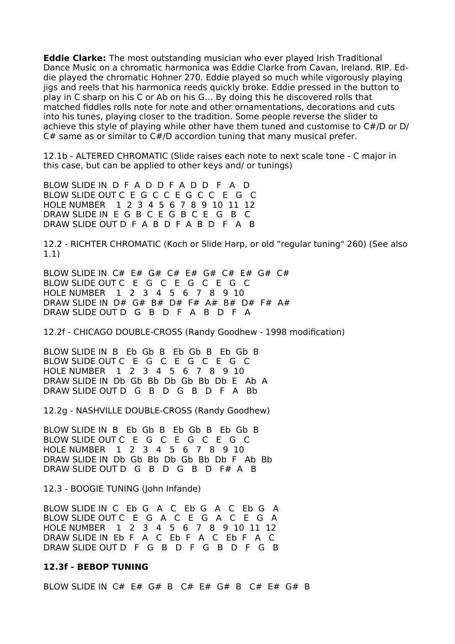**Eddie Clarke:** The most outstanding musician who ever played Irish Traditional Dance Music on a chromatic harmonica was Eddie Clarke from Cavan, Ireland. RIP. Eddie played the chromatic Hohner 270. Eddie played so much while vigorously playing jigs and reels that his harmonica reeds quickly broke. Eddie pressed in the button to play in C sharp on his C or Ab on his G… By doing this he discovered rolls that matched fiddles rolls note for note and other ornamentations, decorations and cuts into his tunes, playing closer to the tradition. Some people reverse the slider to achieve this style of playing while other have them tuned and customise to C#/D or D/  $C#$  same as or similar to  $C#/D$  accordion tuning that many musical prefer.

12.1b - ALTERED CHROMATIC (Slide raises each note to next scale tone - C major in this case, but can be applied to other keys and/ or tunings)

BLOW SLIDE IN D F A D D F A D D F A D BLOW SLIDE OUT C E G C C E G C C E G C HOLE NUMBER 1 2 3 4 5 6 7 8 9 10 11 12 DRAW SLIDE IN E G B C E G B C E G B C DRAW SLIDE OUT D F A B D F A B D F A B

12.2 - RICHTER CHROMATIC (Koch or Slide Harp, or old "regular tuning" 260) (See also 1.1)

BLOW SLIDE IN C# E# G# C# E# G# C# E# G# C# BLOW SLIDE OUT C E G C E G C E G C HOLE NUMBER 1 2 3 4 5 6 7 8 9 10 DRAW SLIDE IN D# G# B# D# F# A# B# D# F# A# DRAW SLIDE OUT D G B D F A B D F A

12.2f - CHICAGO DOUBLE-CROSS (Randy Goodhew - 1998 modification)

BLOW SLIDE IN B Eb Gb B Eb Gb B Eb Gb B BLOW SLIDE OUT C E G C E G C E G C HOLE NUMBER 1 2 3 4 5 6 7 8 9 10 DRAW SLIDE IN Db Gb Bb Db Gb Bb Db E Ab A DRAW SLIDE OUT D G B D G B D F A Bb

12.2g - NASHVILLE DOUBLE-CROSS (Randy Goodhew)

BLOW SLIDE IN B Eb Gb B Eb Gb B Eb Gb B BLOW SLIDE OUT C E G C E G C E G C HOLE NUMBER 1 2 3 4 5 6 7 8 9 10 DRAW SLIDE IN Db Gb Bb Db Gb Bb Db F Ab Bb DRAW SLIDE OUT D G B D G B D F# A B

12.3 - BOOGIE TUNING (John Infande)

BLOW SLIDE IN C Eb G A C Eb G A C Eb G A BLOW SLIDE OUT C E G A C E G A C E G A HOLE NUMBER 1 2 3 4 5 6 7 8 9 10 11 12 DRAW SLIDE IN Eb F A C Eb F A C Eb F A C DRAW SLIDE OUT D F G B D F G B D F G B

#### **12.3f - BEBOP TUNING**

BLOW SLIDE IN  $C#$  E# G# B  $C#$  E# G# B  $C#$  E# G# B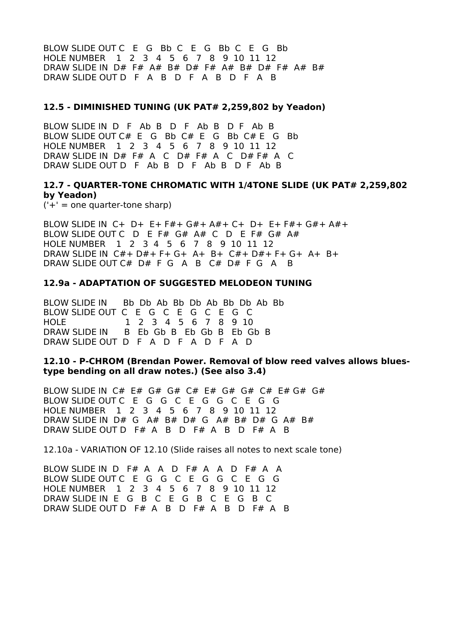BLOW SLIDE OUT C E G Bb C E G Bb C E G Bb HOLE NUMBER 1 2 3 4 5 6 7 8 9 10 11 12 DRAW SLIDE IN D# F# A# B# D# F# A# B# D# F# A# B# DRAW SLIDE OUT D F A B D F A B D F A B

### **12.5 - DIMINISHED TUNING (UK PAT# 2,259,802 by Yeadon)**

BLOW SLIDE IN D F Ab B D F Ab B D F Ab B BLOW SLIDE OUT C# E G Bb C# E G Bb C# E G Bb HOLE NUMBER 1 2 3 4 5 6 7 8 9 10 11 12 DRAW SLIDE IN D# F# A C D# F# A C D# F# A C DRAW SLIDE OUT D F Ab B D F Ab B D F Ab B

## **12.7 - QUARTER-TONE CHROMATIC WITH 1/4TONE SLIDE (UK PAT# 2,259,802 by Yeadon)**

 $('+)$  = one quarter-tone sharp)

BLOW SLIDE IN C+ D+ E+ F#+ G#+ A#+ C+ D+ E+ F#+ G#+ A#+ BLOW SLIDE OUT C D E F# G# A# C D E F# G# A# HOLE NUMBER 1 2 3 4 5 6 7 8 9 10 11 12 DRAW SLIDE IN C#+ D#+ F+ G+ A+ B+ C#+ D#+ F+ G+ A+ B+ DRAW SLIDE OUT C# D# F G A B C# D# F G A B

#### **12.9a - ADAPTATION OF SUGGESTED MELODEON TUNING**

BLOW SLIDE IN Bb Db Ab Bb Db Ab Bb Db Ab Bb BLOW SLIDE OUT C E G C E G C E G C HOLE 1 2 3 4 5 6 7 8 9 10 DRAW SLIDE IN B Eb Gb B Eb Gb B Eb Gb B DRAW SLIDE OUT D F A D F A D F A D

### **12.10 - P-CHROM (Brendan Power. Removal of blow reed valves allows bluestype bending on all draw notes.) (See also 3.4)**

BLOW SLIDE IN  $C#$  E#  $G#$   $G#$   $C#$  E#  $G#$   $G#$   $G#$   $G#$   $G#$ BLOW SLIDE OUT C E G G C E G G C E G G HOLE NUMBER 1 2 3 4 5 6 7 8 9 10 11 12 DRAW SLIDE IN D# G A# B# D# G A# B# D# G A# B# DRAW SLIDE OUT D F# A B D F# A B D F# A B

12.10a - VARIATION OF 12.10 (Slide raises all notes to next scale tone)

BLOW SLIDE IN D F# A A D F# A A D F# A A BLOW SLIDE OUT C E G G C E G G C E G G HOLE NUMBER 1 2 3 4 5 6 7 8 9 10 11 12 DRAW SLIDE IN E G B C E G B C E G B C DRAW SLIDE OUT D F# A B D F# A B D F# A B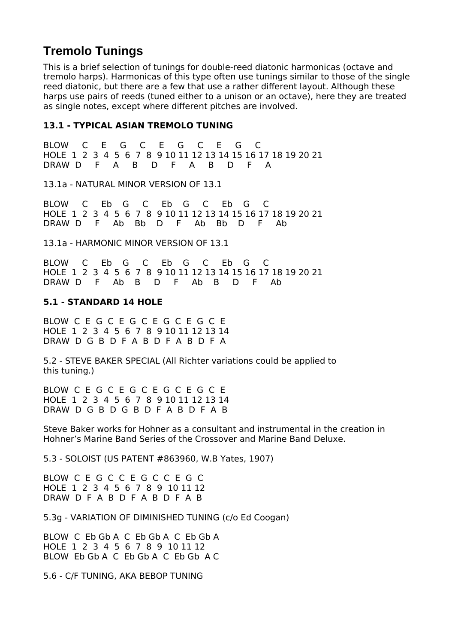# **Tremolo Tunings**

This is a brief selection of tunings for double-reed diatonic harmonicas (octave and tremolo harps). Harmonicas of this type often use tunings similar to those of the single reed diatonic, but there are a few that use a rather different layout. Although these harps use pairs of reeds (tuned either to a unison or an octave), here they are treated as single notes, except where different pitches are involved.

## **13.1 - TYPICAL ASIAN TREMOLO TUNING**

BLOW C E G C E G C E G C HOLE 1 2 3 4 5 6 7 8 9 10 11 12 13 14 15 16 17 18 19 20 21 DRAW D F A B D F A B D F A

13.1a - NATURAL MINOR VERSION OF 13.1

BLOW C Eb G C Eb G C Eb G C HOLE 1 2 3 4 5 6 7 8 9 10 11 12 13 14 15 16 17 18 19 20 21 DRAW D F Ab Bb D F Ab Bb D F Ab

13.1a - HARMONIC MINOR VERSION OF 13.1

BLOW C Eb G C Eb G C Eb G C HOLE 1 2 3 4 5 6 7 8 9 10 11 12 13 14 15 16 17 18 19 20 21 DRAW D F Ab B D F Ab B D F Ab

## **5.1 - STANDARD 14 HOLE**

BLOW C E G C E G C E G C E G C E HOLE 1 2 3 4 5 6 7 8 9 10 11 12 13 14 DRAW D G B D F A B D F A B D F A

5.2 - STEVE BAKER SPECIAL (All Richter variations could be applied to this tuning.)

BLOW C E G C E G C E G C E G C E HOLE 1 2 3 4 5 6 7 8 9 10 11 12 13 14 DRAW D G B D G B D F A B D F A B

Steve Baker works for Hohner as a consultant and instrumental in the creation in Hohner's Marine Band Series of the Crossover and Marine Band Deluxe.

5.3 - SOLOIST (US PATENT #863960, W.B Yates, 1907)

BLOW C E G C C E G C C E G C HOLE 1 2 3 4 5 6 7 8 9 10 11 12 DRAW D F A B D F A B D F A B

5.3g - VARIATION OF DIMINISHED TUNING (c/o Ed Coogan)

BLOW C Eb Gb A C Eb Gb A C Eb Gb A HOLE 1 2 3 4 5 6 7 8 9 10 11 12 BLOW Eb Gb A C Eb Gb A C Eb Gb A C

5.6 - C/F TUNING, AKA BEBOP TUNING